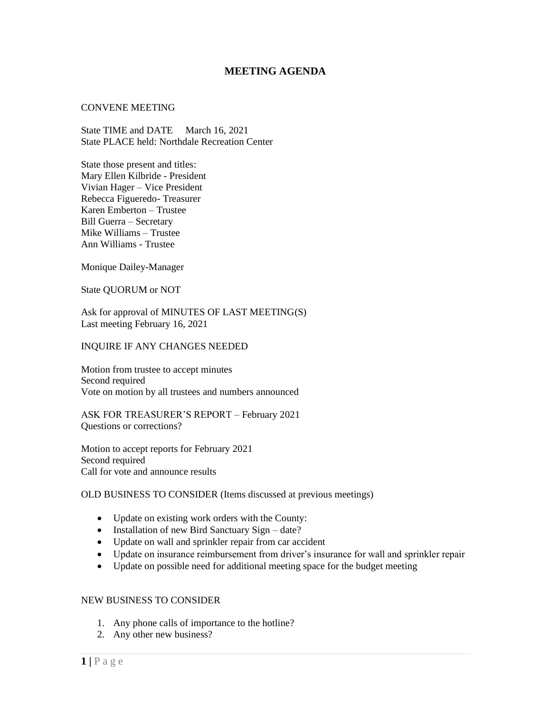# **MEETING AGENDA**

### CONVENE MEETING

State TIME and DATE March 16, 2021 State PLACE held: Northdale Recreation Center

State those present and titles: Mary Ellen Kilbride - President Vivian Hager – Vice President Rebecca Figueredo- Treasurer Karen Emberton – Trustee Bill Guerra – Secretary Mike Williams – Trustee Ann Williams - Trustee

Monique Dailey-Manager

State QUORUM or NOT

Ask for approval of MINUTES OF LAST MEETING(S) Last meeting February 16, 2021

### INQUIRE IF ANY CHANGES NEEDED

Motion from trustee to accept minutes Second required Vote on motion by all trustees and numbers announced

ASK FOR TREASURER'S REPORT – February 2021 Questions or corrections?

Motion to accept reports for February 2021 Second required Call for vote and announce results

# OLD BUSINESS TO CONSIDER (Items discussed at previous meetings)

- Update on existing work orders with the County:
- Installation of new Bird Sanctuary Sign date?
- Update on wall and sprinkler repair from car accident
- Update on insurance reimbursement from driver's insurance for wall and sprinkler repair
- Update on possible need for additional meeting space for the budget meeting

# NEW BUSINESS TO CONSIDER

- 1. Any phone calls of importance to the hotline?
- 2. Any other new business?